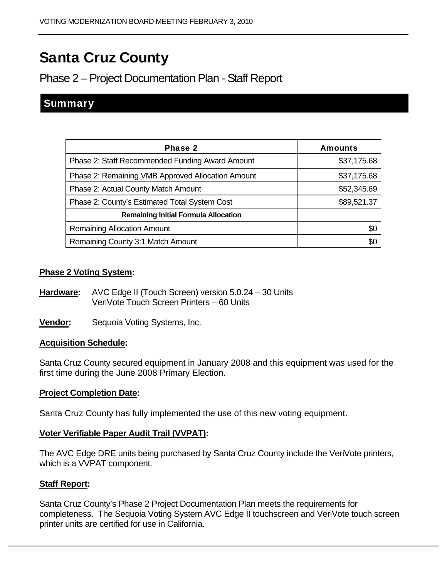# Santa Cruz County

## Phase 2 – Project Documentation Plan - Staff Report

### **Summary**

| Phase 2                                           | <b>Amounts</b> |
|---------------------------------------------------|----------------|
| Phase 2: Staff Recommended Funding Award Amount   | \$37,175.68    |
| Phase 2: Remaining VMB Approved Allocation Amount | \$37,175.68    |
| Phase 2: Actual County Match Amount               | \$52,345.69    |
| Phase 2: County's Estimated Total System Cost     | \$89,521.37    |
| <b>Remaining Initial Formula Allocation</b>       |                |
| <b>Remaining Allocation Amount</b>                | \$0            |
| Remaining County 3:1 Match Amount                 | SO.            |

#### **Phase 2 Voting System:**

- **Hardware:** AVC Edge II (Touch Screen) version 5.0.24 30 Units VeriVote Touch Screen Printers – 60 Units
- **Vendor:** Sequoia Voting Systems, Inc.

#### **Acquisition Schedule:**

Santa Cruz County secured equipment in January 2008 and this equipment was used for the first time during the June 2008 Primary Election.

#### **Project Completion Date:**

Santa Cruz County has fully implemented the use of this new voting equipment.

#### **Voter Verifiable Paper Audit Trail (VVPAT):**

The AVC Edge DRE units being purchased by Santa Cruz County include the VeriVote printers, which is a VVPAT component.

#### **Staff Report:**

Santa Cruz County's Phase 2 Project Documentation Plan meets the requirements for completeness. The Sequoia Voting System AVC Edge II touchscreen and VeriVote touch screen printer units are certified for use in California.